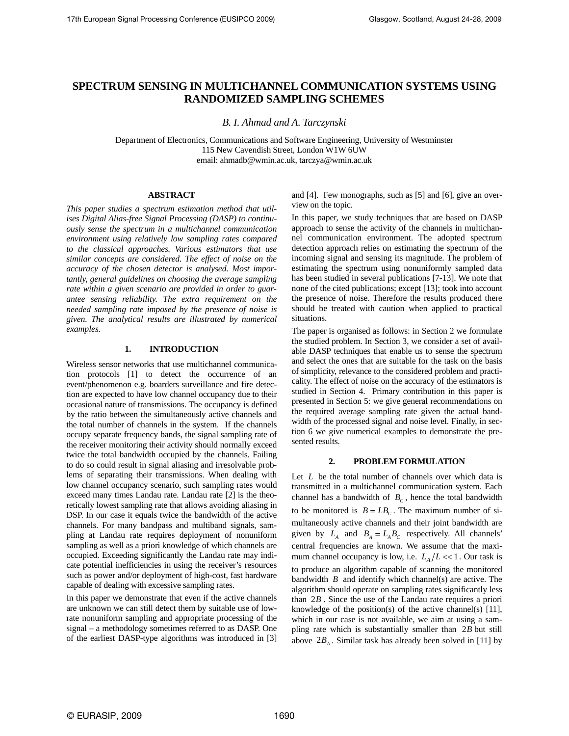# **SPECTRUM SENSING IN MULTICHANNEL COMMUNICATION SYSTEMS USING RANDOMIZED SAMPLING SCHEMES**

*B. I. Ahmad and A. Tarczynski* 

Department of Electronics, Communications and Software Engineering, University of Westminster 115 New Cavendish Street, London W1W 6UW email: ahmadb@wmin.ac.uk, tarczya@wmin.ac.uk

#### **ABSTRACT**

*This paper studies a spectrum estimation method that utilises Digital Alias-free Signal Processing (DASP) to continuously sense the spectrum in a multichannel communication environment using relatively low sampling rates compared to the classical approaches. Various estimators that use similar concepts are considered. The effect of noise on the accuracy of the chosen detector is analysed. Most importantly, general guidelines on choosing the average sampling rate within a given scenario are provided in order to guarantee sensing reliability. The extra requirement on the needed sampling rate imposed by the presence of noise is given. The analytical results are illustrated by numerical examples.* 

# **1. INTRODUCTION**

Wireless sensor networks that use multichannel communication protocols [1] to detect the occurrence of an event/phenomenon e.g. boarders surveillance and fire detection are expected to have low channel occupancy due to their occasional nature of transmissions. The occupancy is defined by the ratio between the simultaneously active channels and the total number of channels in the system. If the channels occupy separate frequency bands, the signal sampling rate of the receiver monitoring their activity should normally exceed twice the total bandwidth occupied by the channels. Failing to do so could result in signal aliasing and irresolvable problems of separating their transmissions. When dealing with low channel occupancy scenario, such sampling rates would exceed many times Landau rate. Landau rate [2] is the theoretically lowest sampling rate that allows avoiding aliasing in DSP. In our case it equals twice the bandwidth of the active channels. For many bandpass and multiband signals, sampling at Landau rate requires deployment of nonuniform sampling as well as a priori knowledge of which channels are occupied. Exceeding significantly the Landau rate may indicate potential inefficiencies in using the receiver's resources such as power and/or deployment of high-cost, fast hardware capable of dealing with excessive sampling rates.

In this paper we demonstrate that even if the active channels are unknown we can still detect them by suitable use of lowrate nonuniform sampling and appropriate processing of the signal – a methodology sometimes referred to as DASP. One of the earliest DASP-type algorithms was introduced in [3]

and [4]. Few monographs, such as [5] and [6], give an overview on the topic.

In this paper, we study techniques that are based on DASP approach to sense the activity of the channels in multichannel communication environment. The adopted spectrum detection approach relies on estimating the spectrum of the incoming signal and sensing its magnitude. The problem of estimating the spectrum using nonuniformly sampled data has been studied in several publications [7-13]. We note that none of the cited publications; except [13]; took into account the presence of noise. Therefore the results produced there should be treated with caution when applied to practical situations.

The paper is organised as follows: in Section 2 we formulate the studied problem. In Section 3, we consider a set of available DASP techniques that enable us to sense the spectrum and select the ones that are suitable for the task on the basis of simplicity, relevance to the considered problem and practicality. The effect of noise on the accuracy of the estimators is studied in Section 4. Primary contribution in this paper is presented in Section 5: we give general recommendations on the required average sampling rate given the actual bandwidth of the processed signal and noise level. Finally, in section 6 we give numerical examples to demonstrate the presented results.

#### **2. PROBLEM FORMULATION**

Let *L* be the total number of channels over which data is transmitted in a multichannel communication system. Each channel has a bandwidth of  $B_c$ , hence the total bandwidth to be monitored is  $B = LB<sub>c</sub>$ . The maximum number of simultaneously active channels and their joint bandwidth are given by  $L_A$  and  $B_A = L_A B_C$  respectively. All channels' central frequencies are known. We assume that the maximum channel occupancy is low, i.e.  $L_A/L \ll 1$ . Our task is to produce an algorithm capable of scanning the monitored bandwidth *B* and identify which channel(s) are active. The algorithm should operate on sampling rates significantly less than 2*B* . Since the use of the Landau rate requires a priori knowledge of the position(s) of the active channel(s) [11], which in our case is not available, we aim at using a sampling rate which is substantially smaller than 2*B* but still above  $2B<sub>A</sub>$ . Similar task has already been solved in [11] by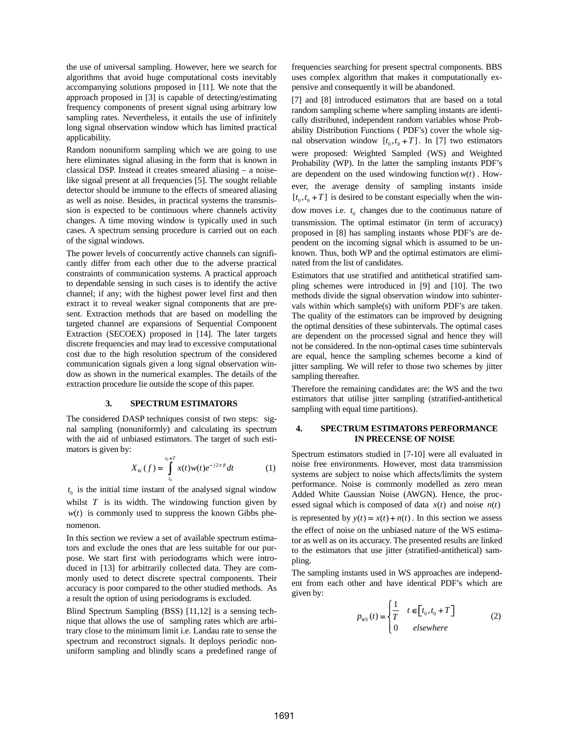the use of universal sampling. However, here we search for algorithms that avoid huge computational costs inevitably accompanying solutions proposed in [11]. We note that the approach proposed in [3] is capable of detecting/estimating frequency components of present signal using arbitrary low sampling rates. Nevertheless, it entails the use of infinitely long signal observation window which has limited practical applicability.

Random nonuniform sampling which we are going to use here eliminates signal aliasing in the form that is known in classical DSP. Instead it creates smeared aliasing – a noiselike signal present at all frequencies [5]. The sought reliable detector should be immune to the effects of smeared aliasing as well as noise. Besides, in practical systems the transmission is expected to be continuous where channels activity changes. A time moving window is typically used in such cases. A spectrum sensing procedure is carried out on each of the signal windows.

The power levels of concurrently active channels can significantly differ from each other due to the adverse practical constraints of communication systems. A practical approach to dependable sensing in such cases is to identify the active channel; if any; with the highest power level first and then extract it to reveal weaker signal components that are present. Extraction methods that are based on modelling the targeted channel are expansions of Sequential Component Extraction (SECOEX) proposed in [14]. The later targets discrete frequencies and may lead to excessive computational cost due to the high resolution spectrum of the considered communication signals given a long signal observation window as shown in the numerical examples. The details of the extraction procedure lie outside the scope of this paper.

### **3. SPECTRUM ESTIMATORS**

The considered DASP techniques consist of two steps: signal sampling (nonuniformly) and calculating its spectrum with the aid of unbiased estimators. The target of such estimators is given by:

$$
X_{W}(f) = \int_{t_{0}}^{t_{0}+T} x(t)w(t)e^{-j2\pi ft}dt
$$
 (1)

 $t<sub>0</sub>$  is the initial time instant of the analysed signal window whilst  $T$  is its width. The windowing function given by  $w(t)$  is commonly used to suppress the known Gibbs phenomenon.

In this section we review a set of available spectrum estimators and exclude the ones that are less suitable for our purpose. We start first with periodograms which were introduced in [13] for arbitrarily collected data. They are commonly used to detect discrete spectral components. Their accuracy is poor compared to the other studied methods. As a result the option of using periodograms is excluded.

Blind Spectrum Sampling (BSS) [11,12] is a sensing technique that allows the use of sampling rates which are arbitrary close to the minimum limit i.e. Landau rate to sense the spectrum and reconstruct signals. It deploys periodic nonuniform sampling and blindly scans a predefined range of

frequencies searching for present spectral components. BBS uses complex algorithm that makes it computationally expensive and consequently it will be abandoned.

[7] and [8] introduced estimators that are based on a total random sampling scheme where sampling instants are identically distributed, independent random variables whose Probability Distribution Functions ( PDF's) cover the whole signal observation window  $[t_0, t_0 + T]$ . In [7] two estimators were proposed: Weighted Sampled (WS) and Weighted Probability (WP). In the latter the sampling instants PDF's are dependent on the used windowing function  $w(t)$ . However, the average density of sampling instants inside  $[t_0, t_0 + T]$  is desired to be constant especially when the window moves i.e.  $t_0$  changes due to the continuous nature of transmission. The optimal estimator (in term of accuracy) proposed in [8] has sampling instants whose PDF's are dependent on the incoming signal which is assumed to be unknown. Thus, both WP and the optimal estimators are eliminated from the list of candidates.

Estimators that use stratified and antithetical stratified sampling schemes were introduced in [9] and [10]. The two methods divide the signal observation window into subintervals within which sample(s) with uniform PDF's are taken. The quality of the estimators can be improved by designing the optimal densities of these subintervals. The optimal cases are dependent on the processed signal and hence they will not be considered. In the non-optimal cases time subintervals are equal, hence the sampling schemes become a kind of jitter sampling. We will refer to those two schemes by jitter sampling thereafter.

Therefore the remaining candidates are: the WS and the two estimators that utilise jitter sampling (stratified-antithetical sampling with equal time partitions).

## **4. SPECTRUM ESTIMATORS PERFORMANCE IN PRECENSE OF NOISE**

Spectrum estimators studied in [7-10] were all evaluated in noise free environments. However, most data transmission systems are subject to noise which affects/limits the system performance. Noise is commonly modelled as zero mean Added White Gaussian Noise (AWGN). Hence, the processed signal which is composed of data  $x(t)$  and noise  $n(t)$ is represented by  $y(t) = x(t) + n(t)$ . In this section we assess the effect of noise on the unbiased nature of the WS estimator as well as on its accuracy. The presented results are linked to the estimators that use jitter (stratified-antithetical) sampling.

The sampling instants used in WS approaches are independent from each other and have identical PDF's which are given by:

$$
p_{\rm ws}(t) = \begin{cases} \frac{1}{T} & t \in \left[t_0, t_0 + T\right] \\ 0 & \text{elsewhere} \end{cases} \tag{2}
$$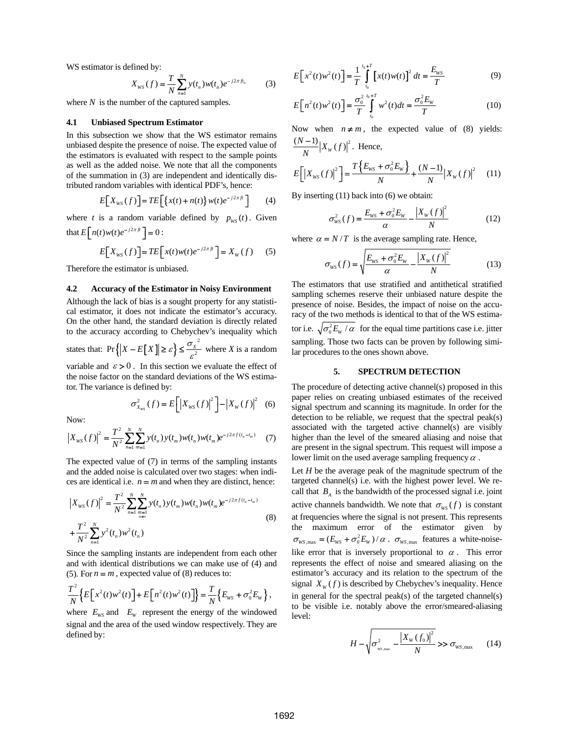WS estimator is defined by:

$$
X_{WS}(f) = \frac{T}{N} \sum_{n=1}^{N} y(t_n) w(t_n) e^{-j2\pi ft_n}
$$
 (3)

where  $N$  is the number of the captured samples.

### **4.1 Unbiased Spectrum Estimator**

In this subsection we show that the WS estimator remains unbiased despite the presence of noise. The expected value of the estimators is evaluated with respect to the sample points as well as the added noise. We note that all the components of the summation in (3) are independent and identically distributed random variables with identical PDF's, hence:

$$
E[X_{ws}(f)] = TE\Big[\big\{x(t) + n(t)\big\}w(t)e^{-j2\pi ft}\Big] \qquad (4)
$$

where *t* is a random variable defined by  $p_{ws}(t)$ . Given that  $E\left[n(t)w(t)e^{-j2\pi ft}\right] = 0$ :

$$
E[X_{ws}(f)] = TE\Big[x(t)w(t)e^{-j2\pi ft}\Big] = X_w(f) \quad (5)
$$

Therefore the estimator is unbiased.

#### **4.2 Accuracy of the Estimator in Noisy Environment**

Although the lack of bias is a sought property for any statistical estimator, it does not indicate the estimator's accuracy. On the other hand, the standard deviation is directly related to the accuracy according to Chebychev's inequality which states that:  $Pr\left\{ |X - E[X]| \ge \varepsilon \right\} \le \frac{\sigma_X^{-2}}{\varepsilon^2}$  where *X* is a random variable and  $\varepsilon > 0$ . In this section we evaluate the effect of

the noise factor on the standard deviations of the WS estimator. The variance is defined by:

$$
\sigma_{X_{\rm WS}}^2(f) = E\bigg[ \big| X_{\rm WS}(f) \big|^2 \bigg] - \big| X_{\rm W}(f) \big|^2 \tag{6}
$$

Now:  
\n
$$
\left|X_{WS}(f)\right|^2 = \frac{T^2}{N^2} \sum_{n=1}^N \sum_{m=1}^N y(t_n) y(t_m) w(t_n) w(t_m) e^{-j2\pi f(t_n - t_m)}
$$
\n(7)

The expected value of (7) in terms of the sampling instants and the added noise is calculated over two stages: when indices are identical i.e.  $n = m$  and when they are distinct, hence:

$$
\left| X_{WS}(f) \right|^2 = \frac{T^2}{N^2} \sum_{n=1}^N \sum_{m=1}^N y(t_n) y(t_m) w(t_n) w(t_m) e^{-j2\pi f(t_n - t_m)}
$$
  
+ 
$$
\frac{T^2}{N^2} \sum_{n=1}^N y^2(t_n) w^2(t_n)
$$
 (8)

Since the sampling instants are independent from each other and with identical distributions we can make use of (4) and (5). For  $n = m$ , expected value of (8) reduces to:

$$
\frac{T^2}{N} \Big\{ E \Big[ x^2(t) w^2(t) \Big] + E \Big[ n^2(t) w^2(t) \Big] \Big\} = \frac{T}{N} \Big\{ E_{\text{WS}} + \sigma_0^2 E_{\text{W}} \Big\} \,,
$$

where  $E_{\text{WS}}$  and  $E_{\text{W}}$  represent the energy of the windowed signal and the area of the used window respectively. They are defined by:

$$
E\left[x^{2}(t)w^{2}(t)\right] = \frac{1}{T} \int_{t_{0}}^{t_{0}+T} \left[x(t)w(t)\right]^{2} dt = \frac{E_{ws}}{T}
$$
 (9)

$$
E[n^{2}(t)w^{2}(t)] = \frac{\sigma_{0}^{2}}{T} \int_{t_{0}}^{t_{0}+T} w^{2}(t)dt = \frac{\sigma_{0}^{2}E_{w}}{T}
$$
 (10)

Now when  $n \neq m$ , the expected value of (8) yields:  $\frac{(N-1)}{N} |X_{W}(f)|^{2}$ . Hence,

$$
E\left[\left|X_{ws}(f)\right|^2\right] = \frac{T\left\{E_{ws} + \sigma_0^2 E_w\right\}}{N} + \frac{(N-1)}{N} \left|X_w(f)\right|^2 \tag{11}
$$

By inserting (11) back into (6) we obtain:

$$
\sigma_{\rm WS}^2(f) = \frac{E_{\rm WS} + \sigma_0^2 E_{\rm W}}{\alpha} - \frac{|X_{\rm W}(f)|^2}{N} \tag{12}
$$

where  $\alpha = N/T$  is the average sampling rate. Hence,

$$
\sigma_{\rm WS}(f) = \sqrt{\frac{E_{\rm WS} + \sigma_0^2 E_{\rm W}}{\alpha} - \frac{|X_{\rm W}(f)|^2}{N}}
$$
(13)

The estimators that use stratified and antithetical stratified sampling schemes reserve their unbiased nature despite the presence of noise. Besides, the impact of noise on the accuracy of the two methods is identical to that of the WS estimator i.e.  $\sqrt{\sigma_0^2 E_W / \alpha}$  for the equal time partitions case i.e. jitter sampling. Those two facts can be proven by following similar procedures to the ones shown above.

### **5. SPECTRUM DETECTION**

The procedure of detecting active channel(s) proposed in this paper relies on creating unbiased estimates of the received signal spectrum and scanning its magnitude. In order for the detection to be reliable, we request that the spectral peak(s) associated with the targeted active channel(s) are visibly higher than the level of the smeared aliasing and noise that are present in the signal spectrum. This request will impose a lower limit on the used average sampling frequency  $\alpha$ .

Let *H* be the average peak of the magnitude spectrum of the targeted channel(s) i.e. with the highest power level. We recall that  $B_{\scriptscriptstyle{A}}$  is the bandwidth of the processed signal i.e. joint active channels bandwidth. We note that  $\sigma_{\text{WS}}(f)$  is constant at frequencies where the signal is not present. This represents the maximum error of the estimator given by  $\sigma_{WS, \text{max}} = (E_{WS} + \sigma_0^2 E_W) / \alpha$ .  $\sigma_{WS, \text{max}}$  features a white-noiselike error that is inversely proportional to  $\alpha$ . This error represents the effect of noise and smeared aliasing on the estimator's accuracy and its relation to the spectrum of the signal  $X_w(f)$  is described by Chebychev's inequality. Hence in general for the spectral peak(s) of the targeted channel(s) to be visible i.e. notably above the error/smeared-aliasing level:

$$
H - \sqrt{\sigma_{\rm ws,max}^2 - \frac{|X_{\rm w}(f_0)|^2}{N}} \gg \sigma_{\rm ws,max} \qquad (14)
$$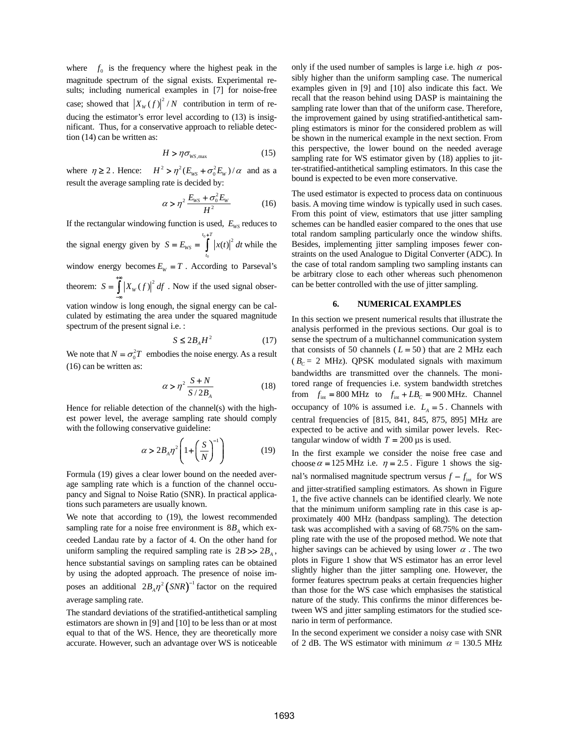where  $f_0$  is the frequency where the highest peak in the magnitude spectrum of the signal exists. Experimental results; including numerical examples in [7] for noise-free case; showed that  $\left| X_W(f) \right|^2 / N$  contribution in term of reducing the estimator's error level according to (13) is insignificant. Thus, for a conservative approach to reliable detection (14) can be written as:

$$
H > \eta \sigma_{\text{WS,max}} \tag{15}
$$

where  $\eta \ge 2$ . Hence:  $H^2 > \eta^2 (E_{WS} + \sigma_0^2 E_W) / \alpha$  and as a result the average sampling rate is decided by:

$$
\alpha > \eta^2 \frac{E_{\text{ws}} + \sigma_0^2 E_{\text{w}}}{H^2} \tag{16}
$$

If the rectangular windowing function is used,  $E_{WS}$  reduces to the signal energy given by  $S = E_{\text{ws}} = \int_0^{\frac{t_0 + t}{t}} |x(t)|^2$ 0  $t_0 + T$  $\frac{w}{t}$  $S = E_{\text{ws}} = |x(t)|^2 dt$  $= E_{\text{ws}} = \int_{0}^{t_0+T} |x(t)|^2 dt$  while the window energy becomes  $E_W = T$ . According to Parseval's

theorem:  $S = \int_{0}^{+\infty} |X_{W}(f)|^{2} df$ . Now if the used signal obser-−∞

vation window is long enough, the signal energy can be calculated by estimating the area under the squared magnitude spectrum of the present signal i.e. :

$$
S \le 2B_A H^2 \tag{17}
$$

We note that  $N = \sigma_0^2 T$  embodies the noise energy. As a result (16) can be written as:

$$
\alpha > \eta^2 \frac{S+N}{S/2B_A} \tag{18}
$$

Hence for reliable detection of the channel(s) with the highest power level, the average sampling rate should comply with the following conservative guideline:

$$
\alpha > 2B_A \eta^2 \left( 1 + \left( \frac{S}{N} \right)^{-1} \right) \tag{19}
$$

Formula (19) gives a clear lower bound on the needed average sampling rate which is a function of the channel occupancy and Signal to Noise Ratio (SNR). In practical applications such parameters are usually known.

We note that according to (19), the lowest recommended sampling rate for a noise free environment is  $8B<sub>A</sub>$  which exceeded Landau rate by a factor of 4. On the other hand for uniform sampling the required sampling rate is  $2B \gg 2B_A$ , hence substantial savings on sampling rates can be obtained by using the adopted approach. The presence of noise imposes an additional  $2B_A \eta^2 (SNR)^{-1}$  factor on the required average sampling rate.

The standard deviations of the stratified-antithetical sampling estimators are shown in [9] and [10] to be less than or at most equal to that of the WS. Hence, they are theoretically more accurate. However, such an advantage over WS is noticeable

only if the used number of samples is large i.e. high  $\alpha$  possibly higher than the uniform sampling case. The numerical examples given in [9] and [10] also indicate this fact. We recall that the reason behind using DASP is maintaining the sampling rate lower than that of the uniform case. Therefore, the improvement gained by using stratified-antithetical sampling estimators is minor for the considered problem as will be shown in the numerical example in the next section. From this perspective, the lower bound on the needed average sampling rate for WS estimator given by  $(18)$  applies to jitter-stratified-antithetical sampling estimators. In this case the bound is expected to be even more conservative.

The used estimator is expected to process data on continuous basis. A moving time window is typically used in such cases. From this point of view, estimators that use jitter sampling schemes can be handled easier compared to the ones that use total random sampling particularly once the window shifts. Besides, implementing jitter sampling imposes fewer constraints on the used Analogue to Digital Converter (ADC). In the case of total random sampling two sampling instants can be arbitrary close to each other whereas such phenomenon can be better controlled with the use of jitter sampling.

#### **6. NUMERICAL EXAMPLES**

In this section we present numerical results that illustrate the analysis performed in the previous sections. Our goal is to sense the spectrum of a multichannel communication system that consists of 50 channels  $(L = 50)$  that are 2 MHz each  $(B<sub>C</sub> = 2 MHz)$ . QPSK modulated signals with maximum bandwidths are transmitted over the channels. The monitored range of frequencies i.e. system bandwidth stretches from  $f_{\text{int}} = 800 \text{ MHz}$  to  $f_{\text{int}} + LB_c = 900 \text{ MHz}$ . Channel occupancy of 10% is assumed i.e.  $L_A = 5$ . Channels with central frequencies of [815, 841, 845, 875, 895] MHz are expected to be active and with similar power levels. Rectangular window of width  $T = 200 \,\mu s$  is used.

In the first example we consider the noise free case and choose  $\alpha = 125$  MHz i.e.  $\eta = 2.5$ . Figure 1 shows the signal's normalised magnitude spectrum versus  $f - f_{int}$  for WS and jitter-stratified sampling estimators. As shown in Figure 1, the five active channels can be identified clearly. We note that the minimum uniform sampling rate in this case is approximately 400 MHz (bandpass sampling). The detection task was accomplished with a saving of 68.75% on the sampling rate with the use of the proposed method. We note that higher savings can be achieved by using lower  $\alpha$ . The two plots in Figure 1 show that WS estimator has an error level slightly higher than the jitter sampling one. However, the former features spectrum peaks at certain frequencies higher than those for the WS case which emphasises the statistical nature of the study. This confirms the minor differences between WS and jitter sampling estimators for the studied scenario in term of performance.

In the second experiment we consider a noisy case with SNR of 2 dB. The WS estimator with minimum  $\alpha$  = 130.5 MHz